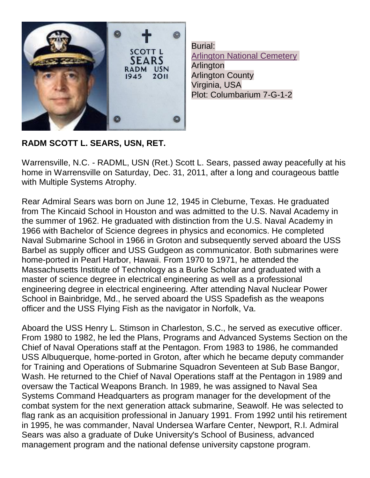

Burial: [Arlington National Cemetery](http://findagrave.com/cgi-bin/fg.cgi?page=cr&GSln=sears&GSfn=scott&GSbyrel=all&GSdy=2011&GSdyrel=in&GSob=n&GRid=91622070&CRid=49269&df=all&) Arlington Arlington County Virginia, USA Plot: Columbarium 7-G-1-2

## **RADM SCOTT L. SEARS, USN, RET.**

Warrensville, N.C. - RADML, USN (Ret.) Scott L. Sears, passed away peacefully at his home in Warrensville on Saturday, Dec. 31, 2011, after a long and courageous battle with Multiple Systems Atrophy.

Rear Admiral Sears was born on June 12, 1945 in Cleburne, Texas. He graduated from The Kincaid School in Houston and was admitted to the U.S. Naval Academy in the summer of 1962. He graduated with distinction from the U.S. Naval Academy in 1966 with Bachelor of Science degrees in physics and economics. He completed Naval Submarine School in 1966 in Groton and subsequently served aboard the USS Barbel as supply officer and USS Gudgeon as communicator. Both submarines were home-ported in Pearl Harbor, Hawaii. From 1970 to 1971, he attended the Massachusetts Institute of Technology as a Burke Scholar and graduated with a master of science degree in electrical engineering as well as a professional engineering degree in electrical engineering. After attending Naval Nuclear Power School in Bainbridge, Md., he served aboard the USS Spadefish as the weapons officer and the USS Flying Fish as the navigator in Norfolk, Va.

Aboard the USS Henry L. Stimson in Charleston, S.C., he served as executive officer. From 1980 to 1982, he led the Plans, Programs and Advanced Systems Section on the Chief of Naval Operations staff at the Pentagon. From 1983 to 1986, he commanded USS Albuquerque, home-ported in Groton, after which he became deputy commander for Training and Operations of Submarine Squadron Seventeen at Sub Base Bangor, Wash. He returned to the Chief of Naval Operations staff at the Pentagon in 1989 and oversaw the Tactical Weapons Branch. In 1989, he was assigned to Naval Sea Systems Command Headquarters as program manager for the development of the combat system for the next generation attack submarine, Seawolf. He was selected to flag rank as an acquisition professional in January 1991. From 1992 until his retirement in 1995, he was commander, Naval Undersea Warfare Center, Newport, R.I. Admiral Sears was also a graduate of Duke University's School of Business, advanced management program and the national defense university capstone program.